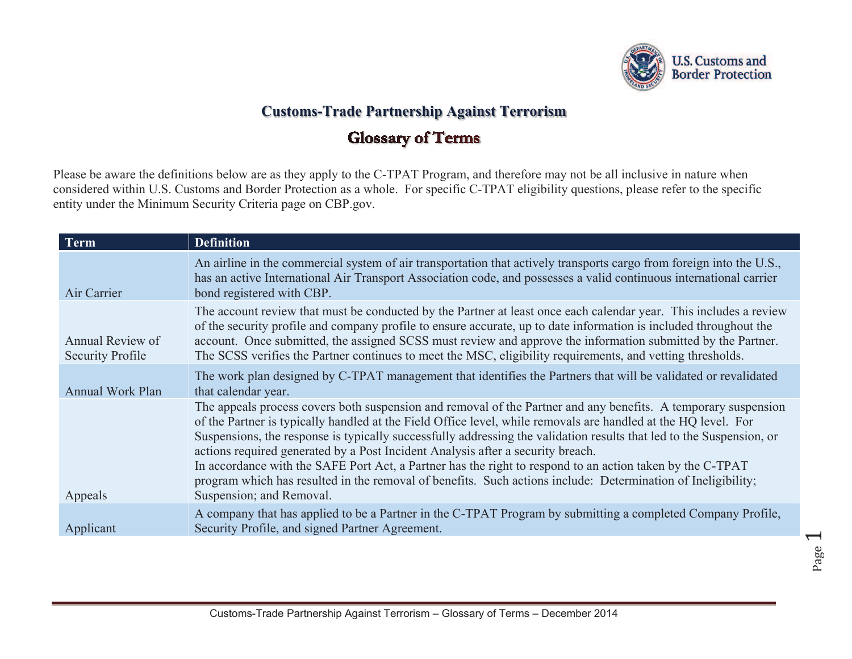

## **Customs-Trade Partnership Against Terrorism**

## **Glossary of Terms**

Please be aware the definitions below are as they apply to the C-TPAT Program, and therefore may not be all inclusive in nature when considered within U.S. Customs and Border Protection as a whole. For specific C-TPAT eligibility questions, please refer to the specific entity under the Minimum Security Criteria page on CBP.gov.

| <b>Term</b>                                 | <b>Definition</b>                                                                                                                                                                                                                                                                                                                                                                                                                                                                                                                                                                                                                                                                                    |
|---------------------------------------------|------------------------------------------------------------------------------------------------------------------------------------------------------------------------------------------------------------------------------------------------------------------------------------------------------------------------------------------------------------------------------------------------------------------------------------------------------------------------------------------------------------------------------------------------------------------------------------------------------------------------------------------------------------------------------------------------------|
| Air Carrier                                 | An airline in the commercial system of air transportation that actively transports cargo from foreign into the U.S.,<br>has an active International Air Transport Association code, and possesses a valid continuous international carrier<br>bond registered with CBP.                                                                                                                                                                                                                                                                                                                                                                                                                              |
| Annual Review of<br><b>Security Profile</b> | The account review that must be conducted by the Partner at least once each calendar year. This includes a review<br>of the security profile and company profile to ensure accurate, up to date information is included throughout the<br>account. Once submitted, the assigned SCSS must review and approve the information submitted by the Partner.<br>The SCSS verifies the Partner continues to meet the MSC, eligibility requirements, and vetting thresholds.                                                                                                                                                                                                                                 |
| <b>Annual Work Plan</b>                     | The work plan designed by C-TPAT management that identifies the Partners that will be validated or revalidated<br>that calendar year.                                                                                                                                                                                                                                                                                                                                                                                                                                                                                                                                                                |
| Appeals                                     | The appeals process covers both suspension and removal of the Partner and any benefits. A temporary suspension<br>of the Partner is typically handled at the Field Office level, while removals are handled at the HQ level. For<br>Suspensions, the response is typically successfully addressing the validation results that led to the Suspension, or<br>actions required generated by a Post Incident Analysis after a security breach.<br>In accordance with the SAFE Port Act, a Partner has the right to respond to an action taken by the C-TPAT<br>program which has resulted in the removal of benefits. Such actions include: Determination of Ineligibility;<br>Suspension; and Removal. |
| Applicant                                   | A company that has applied to be a Partner in the C-TPAT Program by submitting a completed Company Profile,<br>Security Profile, and signed Partner Agreement.                                                                                                                                                                                                                                                                                                                                                                                                                                                                                                                                       |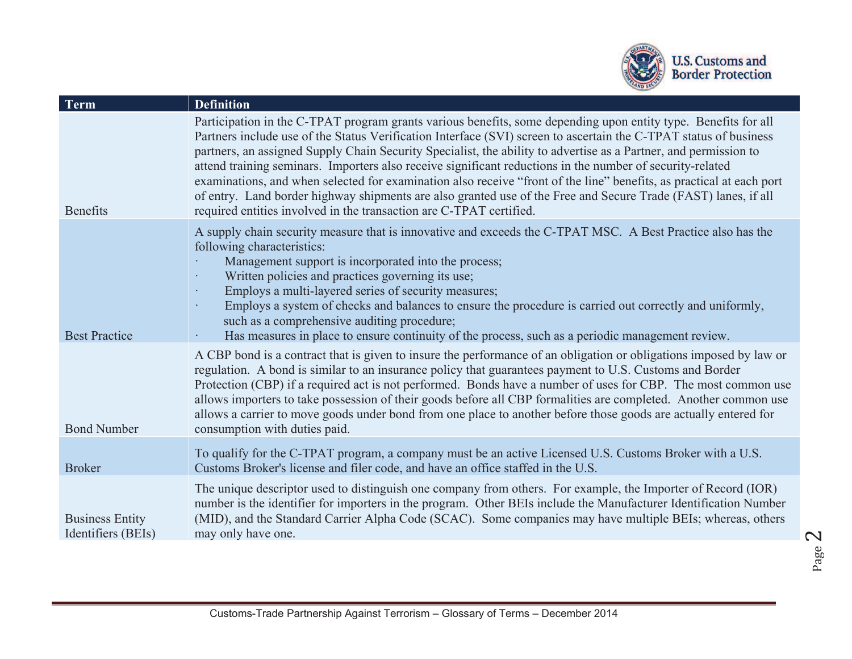

| <b>Term</b>                                  | <b>Definition</b>                                                                                                                                                                                                                                                                                                                                                                                                                                                                                                                                                                                                                                                                                                                                                                     |
|----------------------------------------------|---------------------------------------------------------------------------------------------------------------------------------------------------------------------------------------------------------------------------------------------------------------------------------------------------------------------------------------------------------------------------------------------------------------------------------------------------------------------------------------------------------------------------------------------------------------------------------------------------------------------------------------------------------------------------------------------------------------------------------------------------------------------------------------|
| <b>Benefits</b>                              | Participation in the C-TPAT program grants various benefits, some depending upon entity type. Benefits for all<br>Partners include use of the Status Verification Interface (SVI) screen to ascertain the C-TPAT status of business<br>partners, an assigned Supply Chain Security Specialist, the ability to advertise as a Partner, and permission to<br>attend training seminars. Importers also receive significant reductions in the number of security-related<br>examinations, and when selected for examination also receive "front of the line" benefits, as practical at each port<br>of entry. Land border highway shipments are also granted use of the Free and Secure Trade (FAST) lanes, if all<br>required entities involved in the transaction are C-TPAT certified. |
| <b>Best Practice</b>                         | A supply chain security measure that is innovative and exceeds the C-TPAT MSC. A Best Practice also has the<br>following characteristics:<br>Management support is incorporated into the process;<br>Written policies and practices governing its use;<br>$\ddot{\phantom{0}}$<br>Employs a multi-layered series of security measures;<br>Employs a system of checks and balances to ensure the procedure is carried out correctly and uniformly,<br>such as a comprehensive auditing procedure;<br>Has measures in place to ensure continuity of the process, such as a periodic management review.                                                                                                                                                                                  |
| <b>Bond Number</b>                           | A CBP bond is a contract that is given to insure the performance of an obligation or obligations imposed by law or<br>regulation. A bond is similar to an insurance policy that guarantees payment to U.S. Customs and Border<br>Protection (CBP) if a required act is not performed. Bonds have a number of uses for CBP. The most common use<br>allows importers to take possession of their goods before all CBP formalities are completed. Another common use<br>allows a carrier to move goods under bond from one place to another before those goods are actually entered for<br>consumption with duties paid.                                                                                                                                                                 |
| <b>Broker</b>                                | To qualify for the C-TPAT program, a company must be an active Licensed U.S. Customs Broker with a U.S.<br>Customs Broker's license and filer code, and have an office staffed in the U.S.                                                                                                                                                                                                                                                                                                                                                                                                                                                                                                                                                                                            |
| <b>Business Entity</b><br>Identifiers (BEIs) | The unique descriptor used to distinguish one company from others. For example, the Importer of Record (IOR)<br>number is the identifier for importers in the program. Other BEIs include the Manufacturer Identification Number<br>(MID), and the Standard Carrier Alpha Code (SCAC). Some companies may have multiple BEIs; whereas, others<br>may only have one.                                                                                                                                                                                                                                                                                                                                                                                                                   |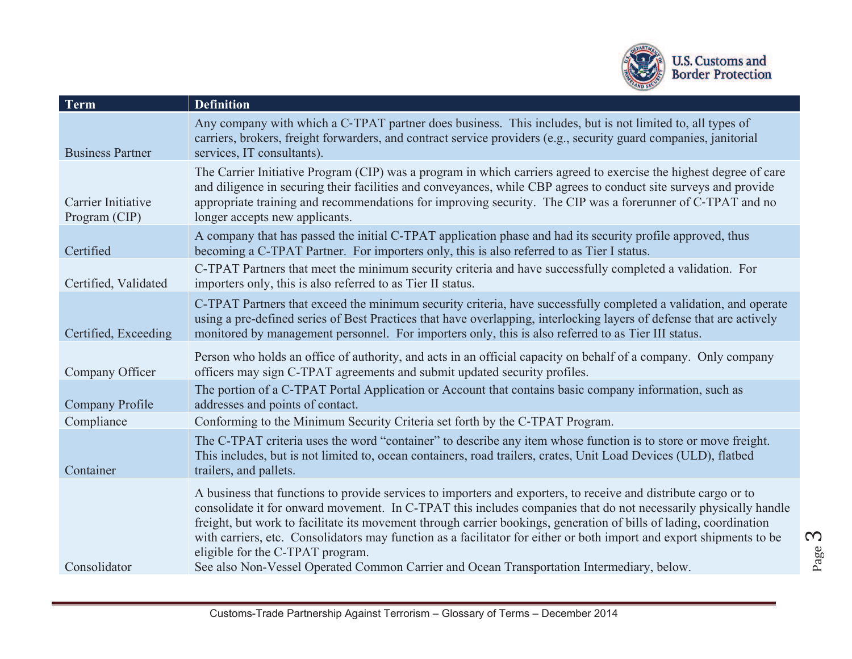

| <b>Term</b>                         | <b>Definition</b>                                                                                                                                                                                                                                                                                                                                                                                                                                                                                                                                                                                                 |
|-------------------------------------|-------------------------------------------------------------------------------------------------------------------------------------------------------------------------------------------------------------------------------------------------------------------------------------------------------------------------------------------------------------------------------------------------------------------------------------------------------------------------------------------------------------------------------------------------------------------------------------------------------------------|
| <b>Business Partner</b>             | Any company with which a C-TPAT partner does business. This includes, but is not limited to, all types of<br>carriers, brokers, freight forwarders, and contract service providers (e.g., security guard companies, janitorial<br>services, IT consultants).                                                                                                                                                                                                                                                                                                                                                      |
| Carrier Initiative<br>Program (CIP) | The Carrier Initiative Program (CIP) was a program in which carriers agreed to exercise the highest degree of care<br>and diligence in securing their facilities and conveyances, while CBP agrees to conduct site surveys and provide<br>appropriate training and recommendations for improving security. The CIP was a forerunner of C-TPAT and no<br>longer accepts new applicants.                                                                                                                                                                                                                            |
| Certified                           | A company that has passed the initial C-TPAT application phase and had its security profile approved, thus<br>becoming a C-TPAT Partner. For importers only, this is also referred to as Tier I status.                                                                                                                                                                                                                                                                                                                                                                                                           |
| Certified, Validated                | C-TPAT Partners that meet the minimum security criteria and have successfully completed a validation. For<br>importers only, this is also referred to as Tier II status.                                                                                                                                                                                                                                                                                                                                                                                                                                          |
| Certified, Exceeding                | C-TPAT Partners that exceed the minimum security criteria, have successfully completed a validation, and operate<br>using a pre-defined series of Best Practices that have overlapping, interlocking layers of defense that are actively<br>monitored by management personnel. For importers only, this is also referred to as Tier III status.                                                                                                                                                                                                                                                                   |
| Company Officer                     | Person who holds an office of authority, and acts in an official capacity on behalf of a company. Only company<br>officers may sign C-TPAT agreements and submit updated security profiles.                                                                                                                                                                                                                                                                                                                                                                                                                       |
| <b>Company Profile</b>              | The portion of a C-TPAT Portal Application or Account that contains basic company information, such as<br>addresses and points of contact.                                                                                                                                                                                                                                                                                                                                                                                                                                                                        |
| Compliance                          | Conforming to the Minimum Security Criteria set forth by the C-TPAT Program.                                                                                                                                                                                                                                                                                                                                                                                                                                                                                                                                      |
| Container                           | The C-TPAT criteria uses the word "container" to describe any item whose function is to store or move freight.<br>This includes, but is not limited to, ocean containers, road trailers, crates, Unit Load Devices (ULD), flatbed<br>trailers, and pallets.                                                                                                                                                                                                                                                                                                                                                       |
| Consolidator                        | A business that functions to provide services to importers and exporters, to receive and distribute cargo or to<br>consolidate it for onward movement. In C-TPAT this includes companies that do not necessarily physically handle<br>freight, but work to facilitate its movement through carrier bookings, generation of bills of lading, coordination<br>with carriers, etc. Consolidators may function as a facilitator for either or both import and export shipments to be<br>eligible for the C-TPAT program.<br>See also Non-Vessel Operated Common Carrier and Ocean Transportation Intermediary, below. |
|                                     |                                                                                                                                                                                                                                                                                                                                                                                                                                                                                                                                                                                                                   |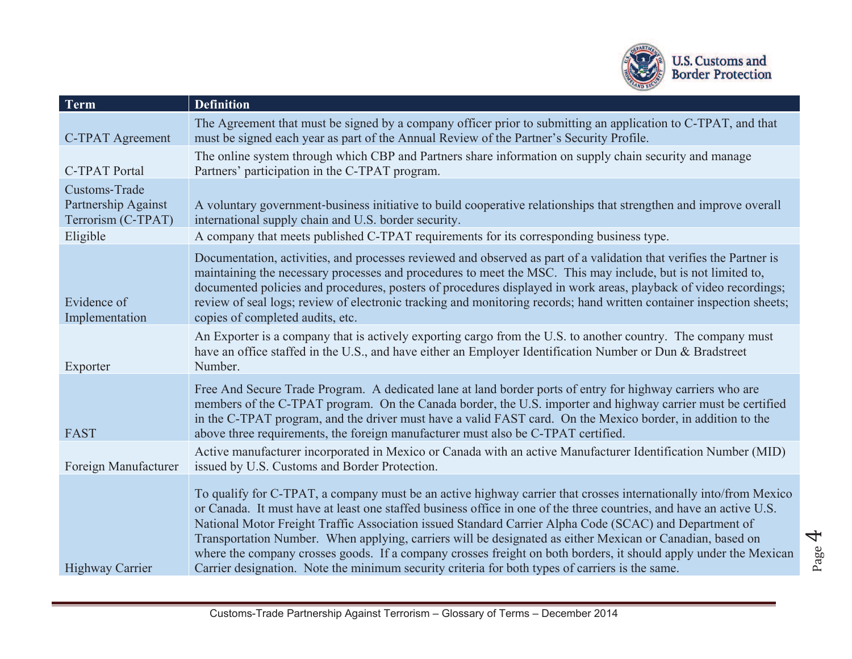

| Term                                                       | <b>Definition</b>                                                                                                                                                                                                                                                                                                                                                                                                                                                                                                                                                                                                                                                                     |
|------------------------------------------------------------|---------------------------------------------------------------------------------------------------------------------------------------------------------------------------------------------------------------------------------------------------------------------------------------------------------------------------------------------------------------------------------------------------------------------------------------------------------------------------------------------------------------------------------------------------------------------------------------------------------------------------------------------------------------------------------------|
| <b>C-TPAT Agreement</b>                                    | The Agreement that must be signed by a company officer prior to submitting an application to C-TPAT, and that<br>must be signed each year as part of the Annual Review of the Partner's Security Profile.                                                                                                                                                                                                                                                                                                                                                                                                                                                                             |
| <b>C-TPAT Portal</b>                                       | The online system through which CBP and Partners share information on supply chain security and manage<br>Partners' participation in the C-TPAT program.                                                                                                                                                                                                                                                                                                                                                                                                                                                                                                                              |
| Customs-Trade<br>Partnership Against<br>Terrorism (C-TPAT) | A voluntary government-business initiative to build cooperative relationships that strengthen and improve overall<br>international supply chain and U.S. border security.                                                                                                                                                                                                                                                                                                                                                                                                                                                                                                             |
| Eligible                                                   | A company that meets published C-TPAT requirements for its corresponding business type.                                                                                                                                                                                                                                                                                                                                                                                                                                                                                                                                                                                               |
| Evidence of<br>Implementation                              | Documentation, activities, and processes reviewed and observed as part of a validation that verifies the Partner is<br>maintaining the necessary processes and procedures to meet the MSC. This may include, but is not limited to,<br>documented policies and procedures, posters of procedures displayed in work areas, playback of video recordings;<br>review of seal logs; review of electronic tracking and monitoring records; hand written container inspection sheets;<br>copies of completed audits, etc.                                                                                                                                                                   |
| Exporter                                                   | An Exporter is a company that is actively exporting cargo from the U.S. to another country. The company must<br>have an office staffed in the U.S., and have either an Employer Identification Number or Dun & Bradstreet<br>Number.                                                                                                                                                                                                                                                                                                                                                                                                                                                  |
| <b>FAST</b>                                                | Free And Secure Trade Program. A dedicated lane at land border ports of entry for highway carriers who are<br>members of the C-TPAT program. On the Canada border, the U.S. importer and highway carrier must be certified<br>in the C-TPAT program, and the driver must have a valid FAST card. On the Mexico border, in addition to the<br>above three requirements, the foreign manufacturer must also be C-TPAT certified.                                                                                                                                                                                                                                                        |
| Foreign Manufacturer                                       | Active manufacturer incorporated in Mexico or Canada with an active Manufacturer Identification Number (MID)<br>issued by U.S. Customs and Border Protection.                                                                                                                                                                                                                                                                                                                                                                                                                                                                                                                         |
| <b>Highway Carrier</b>                                     | To qualify for C-TPAT, a company must be an active highway carrier that crosses internationally into/from Mexico<br>or Canada. It must have at least one staffed business office in one of the three countries, and have an active U.S.<br>National Motor Freight Traffic Association issued Standard Carrier Alpha Code (SCAC) and Department of<br>Transportation Number. When applying, carriers will be designated as either Mexican or Canadian, based on<br>where the company crosses goods. If a company crosses freight on both borders, it should apply under the Mexican<br>Carrier designation. Note the minimum security criteria for both types of carriers is the same. |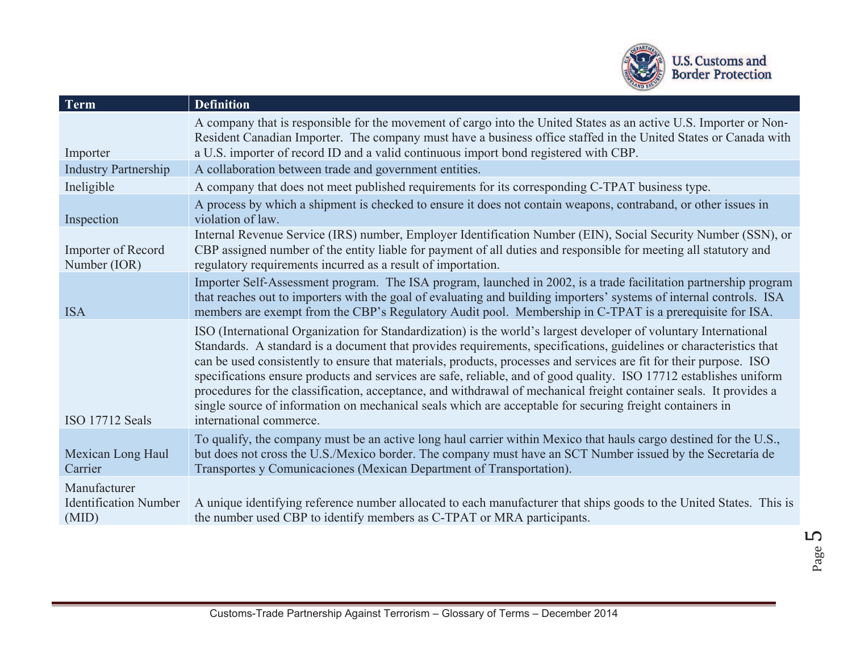

| Term                                                  | <b>Definition</b>                                                                                                                                                                                                                                                                                                                                                                                                                                                                                                                                                                                                                                                                                                                               |
|-------------------------------------------------------|-------------------------------------------------------------------------------------------------------------------------------------------------------------------------------------------------------------------------------------------------------------------------------------------------------------------------------------------------------------------------------------------------------------------------------------------------------------------------------------------------------------------------------------------------------------------------------------------------------------------------------------------------------------------------------------------------------------------------------------------------|
| Importer                                              | A company that is responsible for the movement of cargo into the United States as an active U.S. Importer or Non-<br>Resident Canadian Importer. The company must have a business office staffed in the United States or Canada with<br>a U.S. importer of record ID and a valid continuous import bond registered with CBP.                                                                                                                                                                                                                                                                                                                                                                                                                    |
| <b>Industry Partnership</b>                           | A collaboration between trade and government entities.                                                                                                                                                                                                                                                                                                                                                                                                                                                                                                                                                                                                                                                                                          |
| Ineligible                                            | A company that does not meet published requirements for its corresponding C-TPAT business type.                                                                                                                                                                                                                                                                                                                                                                                                                                                                                                                                                                                                                                                 |
| Inspection                                            | A process by which a shipment is checked to ensure it does not contain weapons, contraband, or other issues in<br>violation of law.                                                                                                                                                                                                                                                                                                                                                                                                                                                                                                                                                                                                             |
| Importer of Record<br>Number (IOR)                    | Internal Revenue Service (IRS) number, Employer Identification Number (EIN), Social Security Number (SSN), or<br>CBP assigned number of the entity liable for payment of all duties and responsible for meeting all statutory and<br>regulatory requirements incurred as a result of importation.                                                                                                                                                                                                                                                                                                                                                                                                                                               |
| <b>ISA</b>                                            | Importer Self-Assessment program. The ISA program, launched in 2002, is a trade facilitation partnership program<br>that reaches out to importers with the goal of evaluating and building importers' systems of internal controls. ISA<br>members are exempt from the CBP's Regulatory Audit pool. Membership in C-TPAT is a prerequisite for ISA.                                                                                                                                                                                                                                                                                                                                                                                             |
| ISO 17712 Seals                                       | ISO (International Organization for Standardization) is the world's largest developer of voluntary International<br>Standards. A standard is a document that provides requirements, specifications, guidelines or characteristics that<br>can be used consistently to ensure that materials, products, processes and services are fit for their purpose. ISO<br>specifications ensure products and services are safe, reliable, and of good quality. ISO 17712 establishes uniform<br>procedures for the classification, acceptance, and withdrawal of mechanical freight container seals. It provides a<br>single source of information on mechanical seals which are acceptable for securing freight containers in<br>international commerce. |
| Mexican Long Haul<br>Carrier                          | To qualify, the company must be an active long haul carrier within Mexico that hauls cargo destined for the U.S.,<br>but does not cross the U.S./Mexico border. The company must have an SCT Number issued by the Secretaría de<br>Transportes y Comunicaciones (Mexican Department of Transportation).                                                                                                                                                                                                                                                                                                                                                                                                                                         |
| Manufacturer<br><b>Identification Number</b><br>(MID) | A unique identifying reference number allocated to each manufacturer that ships goods to the United States. This is<br>the number used CBP to identify members as C-TPAT or MRA participants.                                                                                                                                                                                                                                                                                                                                                                                                                                                                                                                                                   |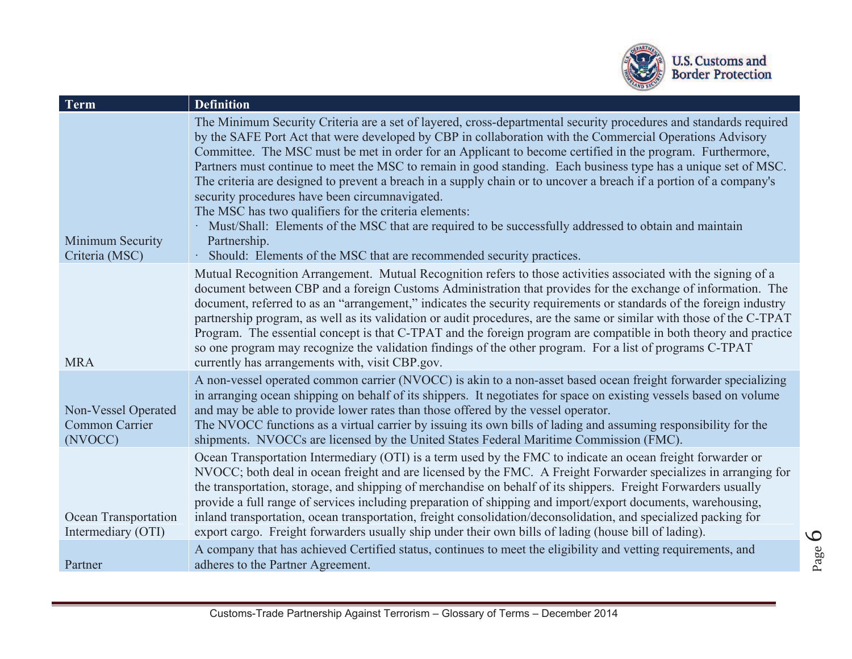

| Term                                             | <b>Definition</b>                                                                                                                                                                                                                                                                                                                                                                                                                                                                                                                                                                                                                                                                                                                                                                                                                                                                                |
|--------------------------------------------------|--------------------------------------------------------------------------------------------------------------------------------------------------------------------------------------------------------------------------------------------------------------------------------------------------------------------------------------------------------------------------------------------------------------------------------------------------------------------------------------------------------------------------------------------------------------------------------------------------------------------------------------------------------------------------------------------------------------------------------------------------------------------------------------------------------------------------------------------------------------------------------------------------|
| Minimum Security<br>Criteria (MSC)               | The Minimum Security Criteria are a set of layered, cross-departmental security procedures and standards required<br>by the SAFE Port Act that were developed by CBP in collaboration with the Commercial Operations Advisory<br>Committee. The MSC must be met in order for an Applicant to become certified in the program. Furthermore,<br>Partners must continue to meet the MSC to remain in good standing. Each business type has a unique set of MSC.<br>The criteria are designed to prevent a breach in a supply chain or to uncover a breach if a portion of a company's<br>security procedures have been circumnavigated.<br>The MSC has two qualifiers for the criteria elements:<br>· Must/Shall: Elements of the MSC that are required to be successfully addressed to obtain and maintain<br>Partnership.<br>Should: Elements of the MSC that are recommended security practices. |
| <b>MRA</b>                                       | Mutual Recognition Arrangement. Mutual Recognition refers to those activities associated with the signing of a<br>document between CBP and a foreign Customs Administration that provides for the exchange of information. The<br>document, referred to as an "arrangement," indicates the security requirements or standards of the foreign industry<br>partnership program, as well as its validation or audit procedures, are the same or similar with those of the C-TPAT<br>Program. The essential concept is that C-TPAT and the foreign program are compatible in both theory and practice<br>so one program may recognize the validation findings of the other program. For a list of programs C-TPAT<br>currently has arrangements with, visit CBP.gov.                                                                                                                                 |
| Non-Vessel Operated<br>Common Carrier<br>(NVOCC) | A non-vessel operated common carrier (NVOCC) is akin to a non-asset based ocean freight forwarder specializing<br>in arranging ocean shipping on behalf of its shippers. It negotiates for space on existing vessels based on volume<br>and may be able to provide lower rates than those offered by the vessel operator.<br>The NVOCC functions as a virtual carrier by issuing its own bills of lading and assuming responsibility for the<br>shipments. NVOCCs are licensed by the United States Federal Maritime Commission (FMC).                                                                                                                                                                                                                                                                                                                                                           |
| Ocean Transportation<br>Intermediary (OTI)       | Ocean Transportation Intermediary (OTI) is a term used by the FMC to indicate an ocean freight forwarder or<br>NVOCC; both deal in ocean freight and are licensed by the FMC. A Freight Forwarder specializes in arranging for<br>the transportation, storage, and shipping of merchandise on behalf of its shippers. Freight Forwarders usually<br>provide a full range of services including preparation of shipping and import/export documents, warehousing,<br>inland transportation, ocean transportation, freight consolidation/deconsolidation, and specialized packing for<br>export cargo. Freight forwarders usually ship under their own bills of lading (house bill of lading).                                                                                                                                                                                                     |
| Partner                                          | A company that has achieved Certified status, continues to meet the eligibility and vetting requirements, and<br>adheres to the Partner Agreement.                                                                                                                                                                                                                                                                                                                                                                                                                                                                                                                                                                                                                                                                                                                                               |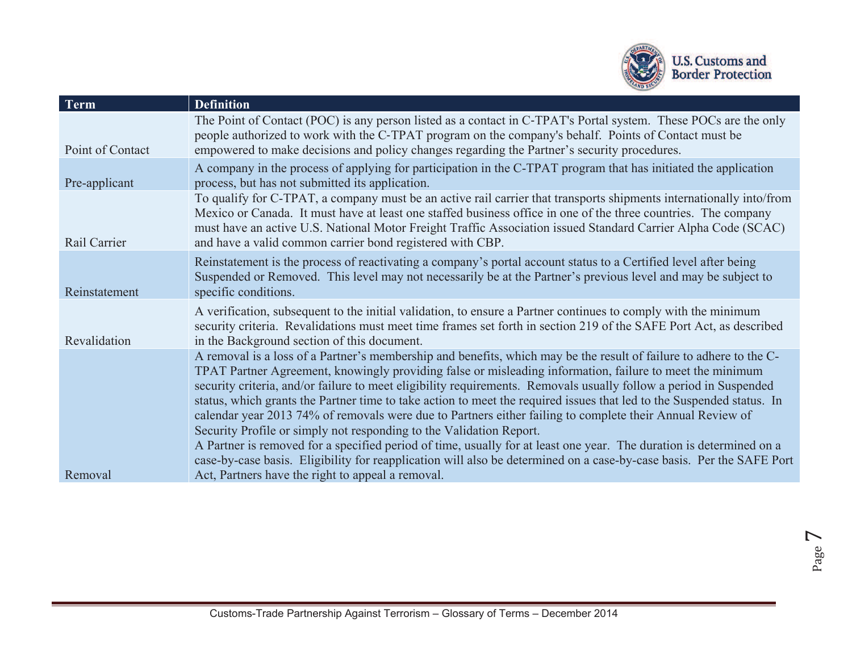

| <b>Term</b>      | <b>Definition</b>                                                                                                                                                                                                                                                                                                                                                                                                                                                                                                                                                                                                                                                                                                                                                                                                                                                                                               |
|------------------|-----------------------------------------------------------------------------------------------------------------------------------------------------------------------------------------------------------------------------------------------------------------------------------------------------------------------------------------------------------------------------------------------------------------------------------------------------------------------------------------------------------------------------------------------------------------------------------------------------------------------------------------------------------------------------------------------------------------------------------------------------------------------------------------------------------------------------------------------------------------------------------------------------------------|
| Point of Contact | The Point of Contact (POC) is any person listed as a contact in C-TPAT's Portal system. These POCs are the only<br>people authorized to work with the C-TPAT program on the company's behalf. Points of Contact must be<br>empowered to make decisions and policy changes regarding the Partner's security procedures.                                                                                                                                                                                                                                                                                                                                                                                                                                                                                                                                                                                          |
| Pre-applicant    | A company in the process of applying for participation in the C-TPAT program that has initiated the application<br>process, but has not submitted its application.                                                                                                                                                                                                                                                                                                                                                                                                                                                                                                                                                                                                                                                                                                                                              |
| Rail Carrier     | To qualify for C-TPAT, a company must be an active rail carrier that transports shipments internationally into/from<br>Mexico or Canada. It must have at least one staffed business office in one of the three countries. The company<br>must have an active U.S. National Motor Freight Traffic Association issued Standard Carrier Alpha Code (SCAC)<br>and have a valid common carrier bond registered with CBP.                                                                                                                                                                                                                                                                                                                                                                                                                                                                                             |
| Reinstatement    | Reinstatement is the process of reactivating a company's portal account status to a Certified level after being<br>Suspended or Removed. This level may not necessarily be at the Partner's previous level and may be subject to<br>specific conditions.                                                                                                                                                                                                                                                                                                                                                                                                                                                                                                                                                                                                                                                        |
| Revalidation     | A verification, subsequent to the initial validation, to ensure a Partner continues to comply with the minimum<br>security criteria. Revalidations must meet time frames set forth in section 219 of the SAFE Port Act, as described<br>in the Background section of this document.                                                                                                                                                                                                                                                                                                                                                                                                                                                                                                                                                                                                                             |
|                  | A removal is a loss of a Partner's membership and benefits, which may be the result of failure to adhere to the C-<br>TPAT Partner Agreement, knowingly providing false or misleading information, failure to meet the minimum<br>security criteria, and/or failure to meet eligibility requirements. Removals usually follow a period in Suspended<br>status, which grants the Partner time to take action to meet the required issues that led to the Suspended status. In<br>calendar year 2013 74% of removals were due to Partners either failing to complete their Annual Review of<br>Security Profile or simply not responding to the Validation Report.<br>A Partner is removed for a specified period of time, usually for at least one year. The duration is determined on a<br>case-by-case basis. Eligibility for reapplication will also be determined on a case-by-case basis. Per the SAFE Port |
| Removal          | Act, Partners have the right to appeal a removal.                                                                                                                                                                                                                                                                                                                                                                                                                                                                                                                                                                                                                                                                                                                                                                                                                                                               |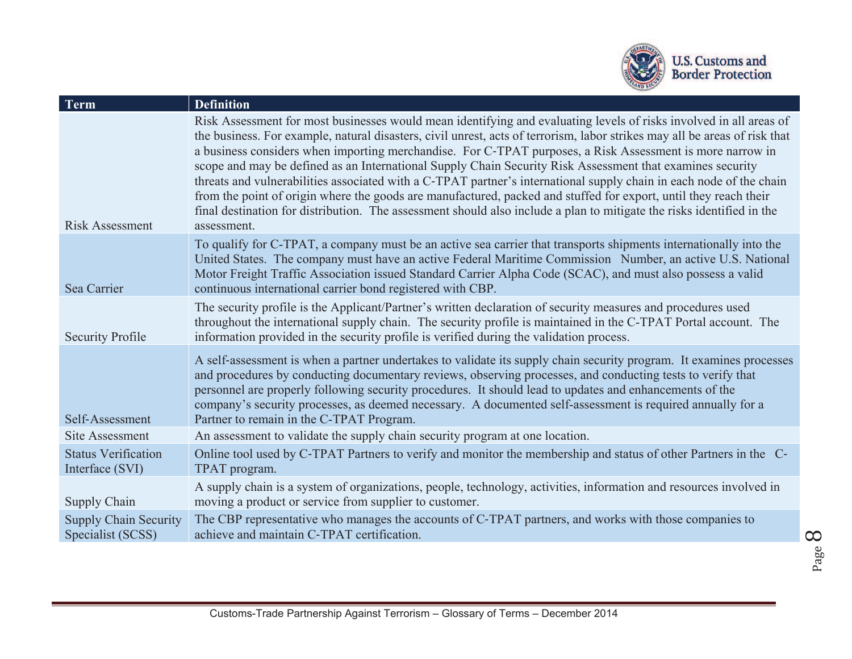

| <b>Definition</b>                                                                                                                                                                                                                                                                                                                                                                                                                                                                                                                                                                                                                                                                                                                                                                                                                                             |
|---------------------------------------------------------------------------------------------------------------------------------------------------------------------------------------------------------------------------------------------------------------------------------------------------------------------------------------------------------------------------------------------------------------------------------------------------------------------------------------------------------------------------------------------------------------------------------------------------------------------------------------------------------------------------------------------------------------------------------------------------------------------------------------------------------------------------------------------------------------|
| Risk Assessment for most businesses would mean identifying and evaluating levels of risks involved in all areas of<br>the business. For example, natural disasters, civil unrest, acts of terrorism, labor strikes may all be areas of risk that<br>a business considers when importing merchandise. For C-TPAT purposes, a Risk Assessment is more narrow in<br>scope and may be defined as an International Supply Chain Security Risk Assessment that examines security<br>threats and vulnerabilities associated with a C-TPAT partner's international supply chain in each node of the chain<br>from the point of origin where the goods are manufactured, packed and stuffed for export, until they reach their<br>final destination for distribution. The assessment should also include a plan to mitigate the risks identified in the<br>assessment. |
| To qualify for C-TPAT, a company must be an active sea carrier that transports shipments internationally into the<br>United States. The company must have an active Federal Maritime Commission Number, an active U.S. National<br>Motor Freight Traffic Association issued Standard Carrier Alpha Code (SCAC), and must also possess a valid<br>continuous international carrier bond registered with CBP.                                                                                                                                                                                                                                                                                                                                                                                                                                                   |
| The security profile is the Applicant/Partner's written declaration of security measures and procedures used<br>throughout the international supply chain. The security profile is maintained in the C-TPAT Portal account. The<br>information provided in the security profile is verified during the validation process.                                                                                                                                                                                                                                                                                                                                                                                                                                                                                                                                    |
| A self-assessment is when a partner undertakes to validate its supply chain security program. It examines processes<br>and procedures by conducting documentary reviews, observing processes, and conducting tests to verify that<br>personnel are properly following security procedures. It should lead to updates and enhancements of the<br>company's security processes, as deemed necessary. A documented self-assessment is required annually for a<br>Partner to remain in the C-TPAT Program.                                                                                                                                                                                                                                                                                                                                                        |
| An assessment to validate the supply chain security program at one location.                                                                                                                                                                                                                                                                                                                                                                                                                                                                                                                                                                                                                                                                                                                                                                                  |
| Online tool used by C-TPAT Partners to verify and monitor the membership and status of other Partners in the C-<br>TPAT program.                                                                                                                                                                                                                                                                                                                                                                                                                                                                                                                                                                                                                                                                                                                              |
| A supply chain is a system of organizations, people, technology, activities, information and resources involved in<br>moving a product or service from supplier to customer.                                                                                                                                                                                                                                                                                                                                                                                                                                                                                                                                                                                                                                                                                  |
| The CBP representative who manages the accounts of C-TPAT partners, and works with those companies to<br>achieve and maintain C-TPAT certification.                                                                                                                                                                                                                                                                                                                                                                                                                                                                                                                                                                                                                                                                                                           |
|                                                                                                                                                                                                                                                                                                                                                                                                                                                                                                                                                                                                                                                                                                                                                                                                                                                               |